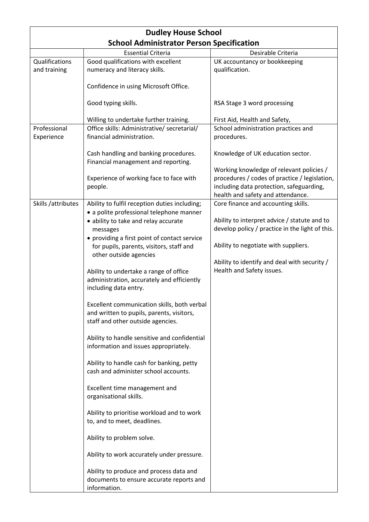| <b>Dudley House School</b> |                                                                                           |                                                                           |
|----------------------------|-------------------------------------------------------------------------------------------|---------------------------------------------------------------------------|
|                            | <b>School Administrator Person Specification</b>                                          |                                                                           |
|                            | <b>Essential Criteria</b>                                                                 | Desirable Criteria                                                        |
| Qualifications             | Good qualifications with excellent                                                        | UK accountancy or bookkeeping                                             |
| and training               | numeracy and literacy skills.                                                             | qualification.                                                            |
|                            | Confidence in using Microsoft Office.                                                     |                                                                           |
|                            | Good typing skills.                                                                       | RSA Stage 3 word processing                                               |
|                            | Willing to undertake further training.                                                    | First Aid, Health and Safety,                                             |
| Professional               | Office skills: Administrative/ secretarial/                                               | School administration practices and                                       |
| Experience                 | financial administration.                                                                 | procedures.                                                               |
|                            | Cash handling and banking procedures.<br>Financial management and reporting.              | Knowledge of UK education sector.                                         |
|                            |                                                                                           | Working knowledge of relevant policies /                                  |
|                            | Experience of working face to face with                                                   | procedures / codes of practice / legislation,                             |
|                            | people.                                                                                   | including data protection, safeguarding,                                  |
|                            |                                                                                           | health and safety and attendance.                                         |
| Skills /attributes         | Ability to fulfil reception duties including;<br>· a polite professional telephone manner | Core finance and accounting skills.                                       |
|                            | • ability to take and relay accurate                                                      | Ability to interpret advice / statute and to                              |
|                            | messages                                                                                  | develop policy / practice in the light of this.                           |
|                            | • providing a first point of contact service                                              | Ability to negotiate with suppliers.                                      |
|                            | for pupils, parents, visitors, staff and<br>other outside agencies                        |                                                                           |
|                            |                                                                                           | Ability to identify and deal with security /<br>Health and Safety issues. |
|                            | Ability to undertake a range of office<br>administration, accurately and efficiently      |                                                                           |
|                            | including data entry.                                                                     |                                                                           |
|                            | Excellent communication skills, both verbal                                               |                                                                           |
|                            | and written to pupils, parents, visitors,                                                 |                                                                           |
|                            | staff and other outside agencies.                                                         |                                                                           |
|                            | Ability to handle sensitive and confidential                                              |                                                                           |
|                            | information and issues appropriately.                                                     |                                                                           |
|                            | Ability to handle cash for banking, petty                                                 |                                                                           |
|                            | cash and administer school accounts.                                                      |                                                                           |
|                            | Excellent time management and<br>organisational skills.                                   |                                                                           |
|                            |                                                                                           |                                                                           |
|                            | Ability to prioritise workload and to work<br>to, and to meet, deadlines.                 |                                                                           |
|                            | Ability to problem solve.                                                                 |                                                                           |
|                            | Ability to work accurately under pressure.                                                |                                                                           |
|                            | Ability to produce and process data and                                                   |                                                                           |
|                            | documents to ensure accurate reports and<br>information.                                  |                                                                           |
|                            |                                                                                           |                                                                           |